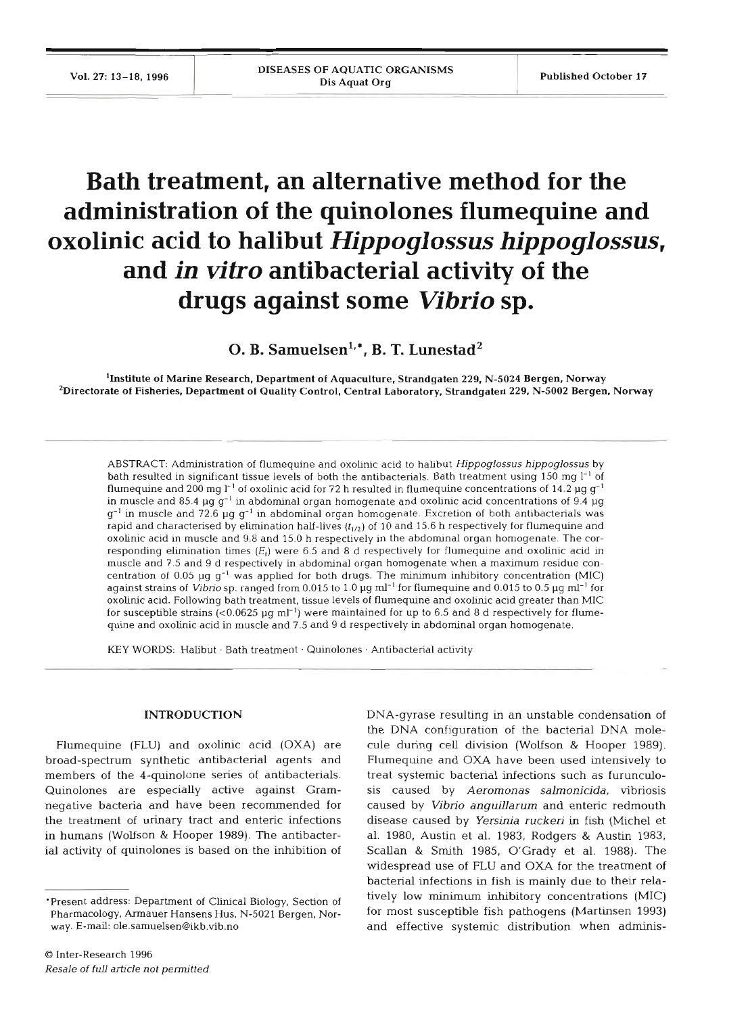# **Bath treatment, an alternative method for the administration of the quinolones flumequine and oxolinic acid to halibut Hippoglossus hippoglossus, and in vitro antibacterial activity of the drugs against some Vibrio sp.**

O. B. Samuelsen<sup>1,\*</sup>, B. T. Lunestad<sup>2</sup>

<sup>1</sup>Institute of Marine Research, Department of Aquaculture, Strandgaten 229, N-5024 Bergen, Norway <sup>2</sup>Directorate of Fisheries, Department of Quality Control, Central Laboratory, Strandgaten 229, N-5002 Bergen, Norway

ABSTRACT: Administration of flumequine and oxolinic acid to halibut *Hippoglossus hippoglossus* by bath resulted in significant tissue levels of both the antibacterials. Bath treatment using 150 mg  $1^{-1}$  of flumequine and 200 mg  $l^{-1}$  of oxolinic acid for 72 h resulted in flumequine concentrations of 14.2 µg  $g^{-1}$ in muscle and 85.4  $\mu$ g g<sup>-1</sup> in abdominal organ homogenate and oxolinic acid concentrations of 9.4  $\mu$ g g-' **in** muscle and 72.6 pg g-' in abdominal organ homogenate. Excretion of both antibacterials was rapid and characterised by elimination half-lives  $(t_{1/2})$  of 10 and 15.6 h respectively for flumequine and oxolinic acid In muscle and 9.8 and 15.0 h respectively **in** the abdominal organ homogenate. The corresponding elimination times  $(E_t)$  were 6.5 and 8 d respectively for flumequine and oxolinic acid in muscle and 7.5 and 9 d respectively in abdominal organ homogenate when a maximum residue concentration of 0.05 µq  $q^{-1}$  was applied for both drugs. The minimum inhibitory concentration (MIC) against strains of Vibrio sp. ranged from 0.015 to 1.0 pg m]-' for flurnequine and 0.015 to 0.5 **pg ml-'** for oxolinic acid. Following bath treatment, tissue levels of flumequine and oxolinic acid greater than MIC for susceptible strains  $\left(0.0625 \mu\right)$  ml<sup>-1</sup>) were maintained for up to 6.5 and 8 d respectively for flumequine and oxolinic acid in muscle and 7.5 and 9 d respectively **in** abdominal organ homogenate.

KEY WORDS: Halibut . Bath treatment . Quinolones . Antibacterial activity

### **INTRODUCTION**

Flumequine (FLU) and oxolinic acid (OXA) are broad-spectrum synthetic antibacterial agents and members of the 4-quinolone series of antibacterials. Quinolones are especially active against Gramnegative bacteria and have been recommended for the treatment of urinary tract and enteric infections in humans (Wolfson & Hooper 1989). The antibacterial activity of quinolones is based on the inhibition of

DNA-gyrase resulting in an unstable condensation of the DNA configuration of the bacterial DNA molecule during cell division (Wolfson & Hooper 1989). Flumequine and OXA have been used intensively to treat systemic bacterial infections such as furunculosis caused by *Aeromonas salmonicjda,* vibriosis caused *by Vibrio anguillarum* and enteric redmouth disease caused by *Yersinia rucken* in fish (Michel et al. 1980, Austin et al. 1983, Rodgers & Austin 1983, Scallan & Smith 1985, O'Grady et al. 1988). The widespread use of FLU and OXA for the treatment of bacterial infections in fish is mainly due to their relatively low minimum inhibitory concentrations (MIC) for most susceptible fish pathogens (Martinsen 1993) and effective systemic distribution when adminis-

<sup>&#</sup>x27;Present address: Department of Clinical Biology, Section of Pharmacology, Armauer Hansens Hus, N-5021 Bergen, Norway. E-mail: **ole.samuelsen@ikb.vib.no**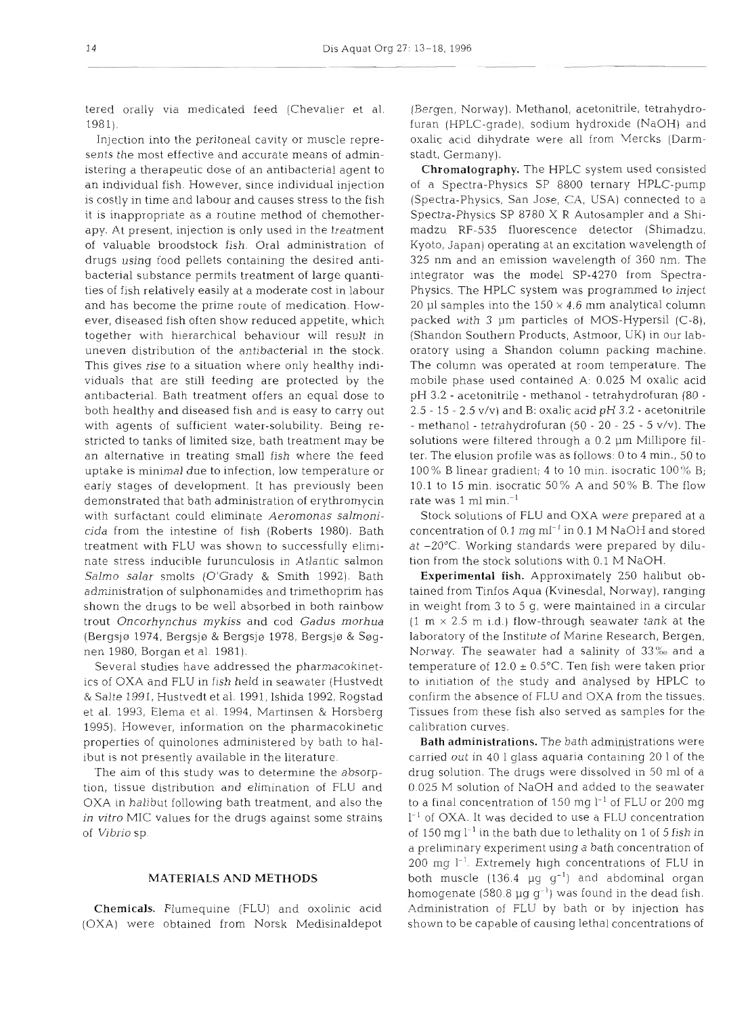tered orally via medicated feed (Chevalier et al. 1981).

Injection into the peritonea1 cavity or muscle represents the most effective and accurate means of administering a therapeutic dose of an antibacterial agent to an individual fish. However, since individual injection is costly in time and labour and causes stress to the fish it is inappropriate as a routine method of chemotherapy. At present, injection is only used in the treatment of valuable broodstock fish. Oral administration of drugs using food pellets containing the desired antibacterial substance permits treatment of large quantities of fish relatively easily at a moderate cost in labour and has become the prime route of medication. However, diseased fish often show reduced appetite, which together with hierarchical behaviour will result in uneven distribution of the antibacterial in the stock. This gives rise to a situation where only healthy individuals that are still feeding are protected by the antibacterial. Bath treatment offers an equal dose to both healthy and diseased fish and is easy to carry out with agents of sufficient water-solubility. Being restricted to tanks of limited size, bath treatment may be an alternative in treating small fish where the feed uptake is minimal due to infection, low temperature or early stages of development. It has previously been demonstrated that bath administration of erythromycin with surfactant could eliminate *Aeromonas salmonicida* from the intestine of fish (Roberts 1980). Bath treatment with FLU was shown to successfully eliminate stress inducible furunculosis in Atlantic salmon *Salmo salar* smolts (O'Grady & Smith 1992). Bath administration of sulphonamides and trimethoprim has shown the drugs to be well absorbed in both rainbow trout *Oncorhynchus mykiss* and cod *Gadus morhua*  (Bergsjø 1974, Bergsjø & Bergsjø 1978, Bergsjø & Søgnen 1980, Borgan et al. 1981).

Several studies have addressed the pharmacokinetics of OXA and FLU in fish held in seawater (Hustvedt & Salte 1991, Hustvedt et al. 1991, Ishida 1992, Rogstad et al. 1993, Elema et al. 1994, Martinsen & Horsberg 1995). However, information on the pharmacokinetic properties of quinolones administered by bath to halibut is not presently available in the literature.

The aim of this study was to determine the absorption, tissue distribution and elimination of FLU and OXA in halibut following bath treatment, and also the *in vitro* MIC values for the drugs against some strains of *Vibrio* sp.

# **MATERIALS AND METHODS**

Chemicals. Flumequine (FLU) and oxolinic acid (OXA) were obtained from Norsk Medisinaldepot (Rergen, Norway). Methanol, acetonitrile, tetrahydrofuran (HPLC-grade), sodium hydroxide (NaOH) and oxalic acid dihydrate were all from Vercks (Darmstadt, Germany).

Chromatography. The HPLC system used consisted of a Spectra-Physics SP 8800 ternary HPLC-pump (Spectra-Physics, San Jose, *Cl\,* USA) connected to a Spectra-Physics SP 8780 X R Autosampler and a Shimadzu RF-535 fluorescence detector (Shimadzu, Kyoto, Japan) operating at an excitation wavelength of 325 nm and an emission wavelength of 360 nm. The integrator was the model SP-4270 from Spectra-Physics. The HPLC system was programmed to inject 20 µl samples into the  $150 \times 4.6$  mm analytical column packed with 3 pm particles of MOS-Hypersil (C-8), (Shandon Southern Products, Astmoor, UK) in our laboratory using a Shandon column packing machine. The column was operated at room temperature. The mobile phase used contained A: 0.025 M oxalic acid pH 3.2 - acetonitrile - methanol - tetrahydrofuran (80 - 2.5 - 15 - 2.5 v/v) and B: oxalic acid pH  $3.2$  - acetonitrile - methanol - tetrahydrofuran (50 - 20 - 25 - 5 v/v). The solutions were filtered through a 0.2 pm Millipore filter. The elusion profile was as follows: 0 to 4 min., 50 to 100% B linear gradient; 4 to 10 min. isocratic 100% B; 10.1 to 15 min. isocratic 50% A and 50% B. The flow rate was 1 m1 min.-'

Stock solutions of FLU and OXA were prepared at a concentration of 0.1 mg ml<sup>-1</sup> in 0.1 M NaOH and stored at -20°C. Working standards were prepared by dilution from the stock solutions with 0.1 M NaOH.

Experimental fish. Approximately 250 halibut obtained from Tinfos Aqua (Kvinesdal, Norway), ranging in weight from 3 to 5 g, were maintained in a circular  $(1 \text{ m} \times 2.5 \text{ m} \text{ i.d.})$  flow-through seawater tank at the laboratory of the Institute of Marine Research, Bergen, Norway. The seawater had a salinity of *33%* and a temperature of  $12.0 \pm 0.5$ °C. Ten fish were taken prior to initiation of the study and analysed by HPLC to confirm the absence of FLU and OXA from the tissues. Tissues from these fish also served as samples for the calibration curves.

Bath administrations. The bath administrations were carried out in 40 1 glass aquaria contaiming 20 1 of the drug solution. The drugs were dissolved in 50 m1 of a 0.025 M solution of NaOH and added to the seawater to a final concentration of 150 mg  $l^{-1}$  of FLU or 200 mg  $l^{-1}$  of OXA. It was decided to use a FLU concentration of 150 mg  $l^{-1}$  in the bath due to lethality on 1 of 5 fish in a preliminary experiment using a bath concentration of  $200$  mg  $l^{-1}$ . Extremely high concentrations of FLU in both muscle  $(136.4 \text{ µg g}^{-1})$  and abdominal organ homogenate (580.8  $\mu$ g g<sup>-1</sup>) was found in the dead fish. Administration of FLU by bath or by injection has shown to be capable of causing lethal concentrations of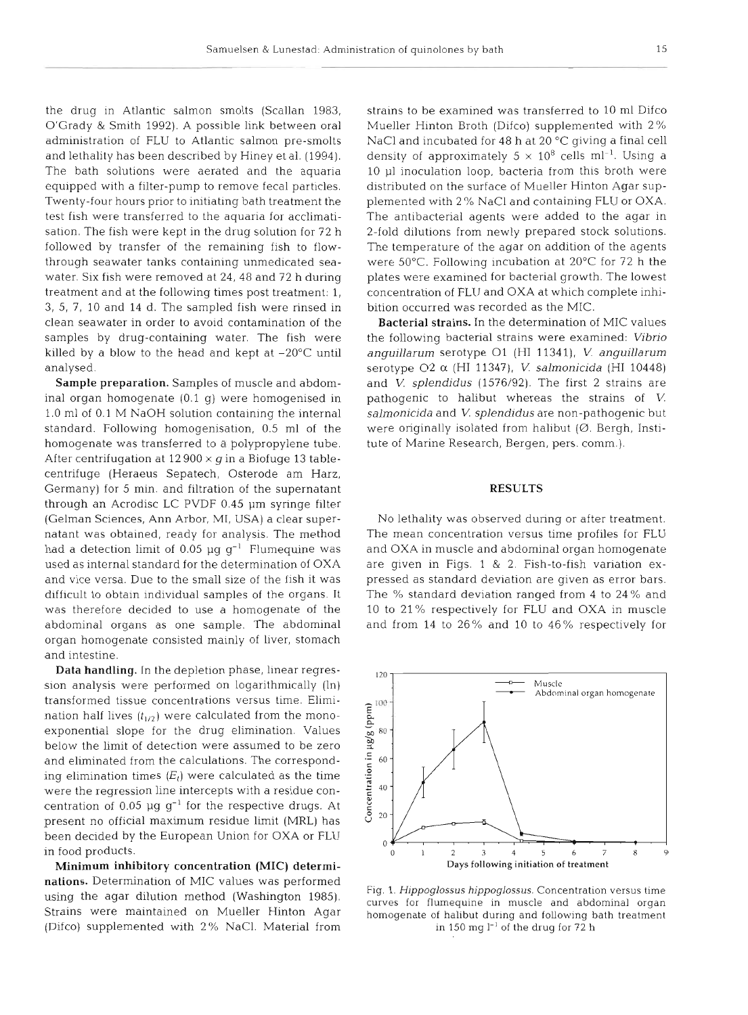the drug in Atlantic salmon smolts (Scallan 1983, O'Grady & Smith 1992). A possible link between oral administration of FLU to Atlantic salmon pre-smolts and lethality has been described by Hiney et al. (1994). The bath solutions were aerated and the aquaria equipped with a filter-pump to remove fecal particles. Twenty-four hours prior to initiating bath treatment the test fish were transferred to the aquaria for acclimatisation. The fish were kept in the drug solution for 72 h followed by transfer of the remaining fish to flowthrough seawater tanks containing unmedicated seawater. Six fish were removed at 24, 48 and 72 h during treatment and at the following times post treatment: 1, 3, 5, 7, 10 and 14 d. The sampled fish were rinsed in clean seawater in order to avoid contamination of the samples by drug-containing water. The fish were killed by a blow to the head and kept at  $-20^{\circ}$ C until analysed.

Sample preparation. Samples of muscle and abdominal organ homogenate (0.1 g) were homogenised in 1.0 m1 of 0.1 M NaOH solution containing the internal standard. Following homogenisation, 0.5 m1 of the homogenate was transferred to a polypropylene tube. After centrifugation at  $12900 \times q$  in a Biofuge 13 tablecentrifuge (Heraeus Sepatech, Osterode am Harz, Germany) for 5 min. and filtration of the supernatant through an Acrodisc LC PVDF 0.45 pm syringe filter (Gelman Sciences, Ann Arbor, MI, USA) a clear supernatant was obtained, ready for analysis. The method had a detection limit of 0.05  $\mu$ g g<sup>-1</sup> Flumequine was used as internal standard for the determination of OXA and vice versa. Due to the small size of the fish it was difficult to obtain individual samples of the organs. It was therefore decided to use a homogenate of the abdominal organs as one sample. The abdominal organ homogenate consisted mainly of liver, stomach and intestine.

Data handling. In the depletion phase, linear regression analysis were performed on logarithmically  $(ln)$ transformed tissue concentrations versus time. Elimination half lives  $(t_{1/2})$  were calculated from the monoexponential slope for the drug elimination. Values below the limit of detection were assumed to be zero and eliminated from the calculations. The corresponding elimination times  $(E_t)$  were calculated as the time were the regression line intercepts with a residue concentration of 0.05  $\mu$ g g<sup>-1</sup> for the respective drugs. At present no official maximum residue limit (MRL) has been decided by the European Union for OXA or FLU in food products.

Minimum inhibitory concentration (MIC) determinations. Determination of MIC values was performed using the agar dilution method (Washington 1985). Strains were maintained on Mueller Hinton Agar (Difco) supplemented with 2% NaCl. Material from strains to be examined was transferred to 10 m1 Difco Mueller Hinton Broth (Difco) supplemented with 2 % NaCl and incubated for 48 h at 20 °C giving a final cell density of approximately  $5 \times 10^8$  cells ml<sup>-1</sup>. Using a 10 p1 inoculation loop, bacteria from this broth were distributed on the surface of Mueller Hinton Agar supplemented with 2 % NaCl and containing FLU or OXA. The antibacterial agents were added to the agar in 2-fold dilutions from newly prepared stock solutions. The temperature of the agar on addition of the agents were 50°C. Following incubation at 20°C for 72 h the plates were examined for bacterial growth. The lowest concentration of FLU and OXA at which complete inhibition occurred was recorded as the MIC.

Bacterial strains. In the determination of MIC values the following bacterial strains were examined: *Vibrio anguillarum* serotype 01 (HI 11341), V *anguillarum*  serotype 02 *a* (HI 11347), V *salmonicida* (HI 10448) and *V. splendidus* (1576/92). The first 2 strains are pathogenic to halibut whereas the strains of V *salmonicida* and *V splendidus* are non-pathogenic but were originally isolated from halibut  $(Ø$ . Bergh, Institute of Marine Research, Bergen, pers. comm.).

#### **RESULTS**

No lethality was observed during or after treatment. The mean concentration versus time profiles for FLU and OXA in muscle and abdominal organ homogenate are given in Figs. 1 & 2. Fish-to-fish variation expressed as standard deviation are given as error bars. The % standard deviation ranged from 4 to 24 % and 10 to 21 % respectively for FLU and OXA in muscle and from 14 to 26% and 10 to 46% respectively for



Fig. 1. Hippoglossus hippoglossus. Concentration versus time curves for flumequine in muscle and abdominal organ homogenate of halibut during and following bath treatment in 150 mg  $l^{-1}$  of the drug for 72 h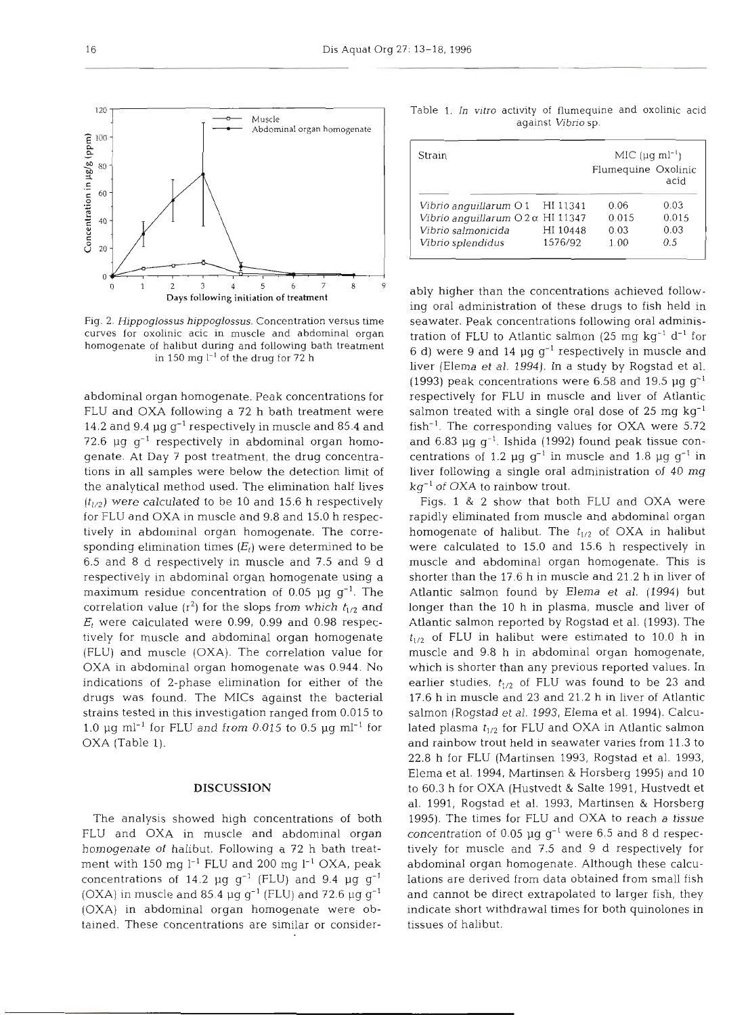

Fig. 2. *Hippoglossus hippoglossus.* Concentration versus time curves for oxolinic acic in muscle and abdominal organ homogenate of halibut during and following bath treatment in 150 mg  $l^{-1}$  of the drug for 72 h

abdominal organ homogenate. Peak concentrations for FLU and OXA following a 72 h bath treatment were 14.2 and 9.4  $\mu$ g g<sup>-1</sup> respectively in muscle and 85.4 and 72.6  $\mu$ g g<sup>-1</sup> respectively in abdominal organ homogenate. At Day 7 post treatment, the drug concentrations in all samples were below the detection limit of the analytical method used. The elimination half lives  $(t_{1/2})$  were calculated to be 10 and 15.6 h respectively for FLU and OXA in muscle and 9.8 and 15.0 h respectively in abdominal organ homogenate. The corresponding elimination times  $(E_t)$  were determined to be 6.5 and 8 d respectively in muscle and 7.5 and 9 d respectively in abdominal organ homogenate using a maximum residue concentration of 0.05  $\mu$ g g<sup>-1</sup>. The correlation value  $(r^2)$  for the slops from which  $t_{1/2}$  and  $E_t$  were calculated were 0.99, 0.99 and 0.98 respectively for muscle and abdominal organ homogenate (FLU) and muscle (OXA). The correlation value for OXA in abdominal organ homogenate was 0.944. No indications of 2-phase elimination for either of the drugs was found. The MICs against the bacterial strains tested in this investigation ranged from 0.015 to 1.0  $\mu$ g ml<sup>-1</sup> for FLU and from 0.015 to 0.5  $\mu$ g ml<sup>-1</sup> for OXA (Table 1).

## DISCUSSION

The analysis showed high concentrations of both FLU and OXA in muscle and abdominal organ homogenate of halibut. Following a 72 h bath treatment with 150 mg  $l^{-1}$  FLU and 200 mg  $l^{-1}$  OXA, peak concentrations of 14.2  $\mu$ g g<sup>-1</sup> (FLU) and 9.4  $\mu$ g g<sup>-1</sup> (OXA) in muscle and 85.4  $\mu$ g g<sup>-1</sup> (FLU) and 72.6  $\mu$ g g<sup>-1</sup> (OXA) in abdominal organ homogenate were obtained. These concentrations are similar or consider-

| Strain | $MIC (uq ml-1)$     |
|--------|---------------------|
|        | Flumequine Oxolinic |
|        | acid                |

*Vibrio anguillarum* O1 HI 11341 0.06 0.03<br>*Vibrio anguillarum* O2α HI 11347 0.015 0.015 *Vibrio anguillarum* 02a *HI* 11347 0.015 0.015

*Vibno splendidus* 1576/92 1.00 0.5

*Vibrio salmonicida* 

y higher than the concentrations achieved follow-<br>oral administration of these drugs to fish held in<br>water. Peak concentrations following oral adminis-<br>varier. Peak concentrations following oral adminis-<br>ion of FLU to Atl

of FLU in hallout were estimated to 10.0 n in<br>scle and 9.8 h in abdominal organ homogenate,<br>ich is shorter than any previous reported values. In<br>lier studies,  $t_{1/2}$  of FLU was found to be 23 and<br>6 h in muscle and 23 an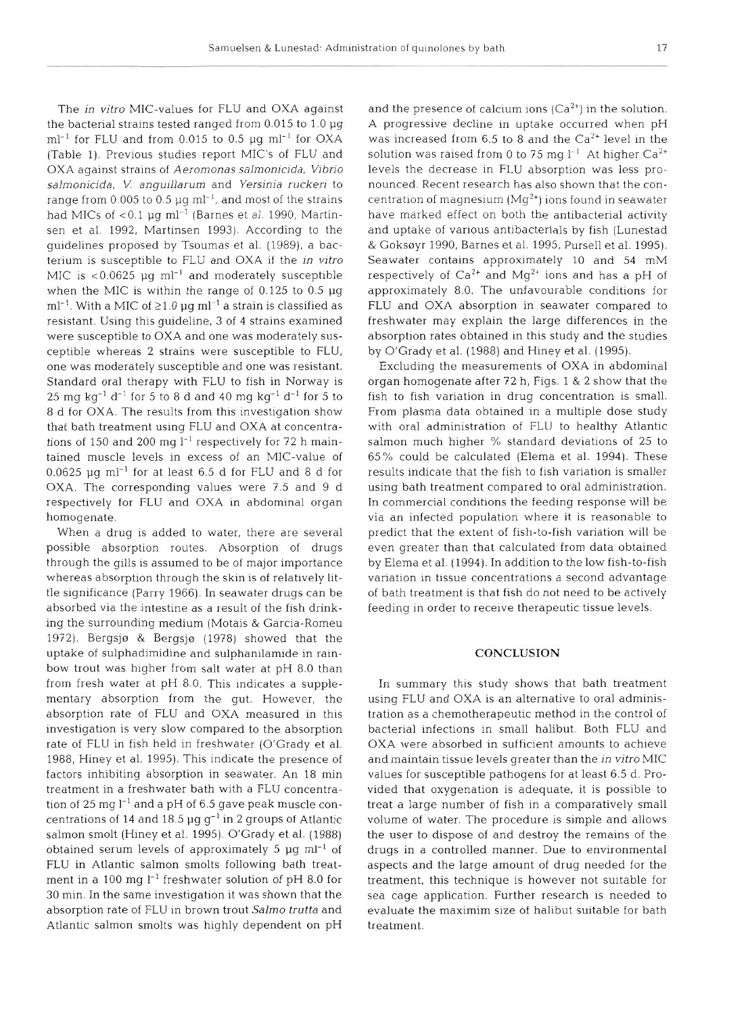The in vitro MIC-values for FLU and OXA against the bacterial strains tested ranged from 0.015 to 1.0 pg  $\text{m}$ l<sup>-1</sup> for FLU and from 0.015 to 0.5 µg ml<sup>-1</sup> for OXA (Table 1). Previous studies report MIC's of FLU and OXA against strains of Aeromonas salmonicida, Vibrio salmonicida, V. anguillarum and Yersinia ruckeri to range from 0.005 to 0.5  $\mu$ g ml<sup>-1</sup>, and most of the strains had MICs of  $< 0.1$  µg ml<sup>-1</sup> (Barnes et al. 1990, Martinsen et al. 1992, Martinsen 1993). According to the guidelines proposed by Tsoumas et al. (1989), a bacterium is susceptible to FLU and OXA if the in vitro MIC is  $< 0.0625$  µg ml<sup>-1</sup> and moderately susceptible when the MIC is within the range of  $0.125$  to  $0.5 \mu$ g ml<sup>-1</sup>. With a MIC of  $\geq$ 1.0 µg ml<sup>-1</sup> a strain is classified as resistant. Using this guideline, 3 of 4 strains examined were susceptible to OXA and one was moderately susceptible whereas 2 strains were susceptible to FLU, one was moderately susceptible and one was resistant. Standard oral therapy with FLU to fish in Norway is 25 mg kg<sup>-1</sup> d<sup>-1</sup> for 5 to 8 d and 40 mg kg<sup>-1</sup> d<sup>-1</sup> for 5 to 8 d for OXA. The results from this investigation show that bath treatment using FLU and OXA at concentrations of 150 and 200 mg  $l^{-1}$  respectively for 72 h maintained muscle levels in excess of an MIC-value of  $0.0625$   $\mu \mathrm{g}\,\, \mathrm{ml}^{-1}$  for at least 6.5 d for FLU and 8 d for OXA. The corresponding values were 7.5 and 9 d respectively for FLU and OXA in abdominal organ homogenate.

When a drug is added to water, there are several possible absorption routes. Absorption of drugs through the gills is assumed to be of major importance whereas absorption through the skin is of relatively little significance (Parry 1966). In seawater drugs can be absorbed via the intestine as a result of the fish drinking the surrounding medium (Motais & Garcia-Romeu 1972). Bergsjø & Bergsjø  $(1978)$  showed that the uptake of sulphadimidine and sulphanilamide in rainbow trout was higher from salt water at pH 8.0 than from fresh water at pH 8.0. This indicates a supplementary absorption from the gut. However, the absorption rate of FLU and OXA measured in this investigation is very slow compared to the absorption rate of FLU in fish held in freshwater (O'Grady et al. 1988, Hiney et al. 1995). This indicate the presence of factors inhibiting absorption in seawater. An 18 min treatment in a freshwater bath with a FLU concentration of 25 mg  $l^{-1}$  and a pH of 6.5 gave peak muscle concentrations of 14 and 18.5 pg g-' in **2** groups of Atlantic salmon smolt (Hiney et al. 1995). O'Grady et al. (1988) obtained serum levels of approximately 5  $\mu$ g ml<sup>-1</sup> of FLU in Atlantic salmon smolts following bath treatment in a 100 mg  $l^{-1}$  freshwater solution of pH 8.0 for 30 min. In the same investigation it was shown that the absorption rate of FLU in brown trout Salmo trutta and Atlantic salmon smolts was highly dependent on pH and the presence of calcium ions  $(Ca^{2+})$  in the solution. A progressive decline in uptake occurred when pH was increased from 6.5 to 8 and the  $Ca^{2+}$  level in the solution was raised from 0 to 75 mg  $l^{-1}$  At higher Ca<sup>2+</sup> levels the decrease in FLU absorption was less pronounced. Recent research has also shown that the concentration of magnesium  $(Mq^{2+})$  ions found in seawater have marked effect on both the antibacterial activity and uptake of various antibacterials by fish (Lunestad & Goksøyr 1990, Barnes et al. 1995, Pursell et al. 1995). Seawater contains approximately 10 and 54 mM respectively of Ca<sup>2+</sup> and Mg<sup>2+</sup> ions and has a pH of approximately 8.0. The unfavourable conditions for FLU and OXA absorption in seawater compared to freshwater may explain the large differences in the absorption rates obtained in this study and the studies by O'Grady et al. (1988) and Hiney et al. (1995).

Excluding the measurements of OXA in abdominal organ homogenate after 72 h, Figs. 1 & 2 show that the fish to fish variation in drug concentration is small. From plasma data obtained in a multiple dose study with oral administration of FLU to healthy Atlantic salmon much higher % standard deviations of 25 to 65% could be calculated (Elema et al. 1994). These results indicate that the fish to fish variation is smaller using bath treatment compared to oral administration. In commercial conditions the feeding response will be via an infected population where it is reasonable to predict that the extent of fish-to-fish variation will be even greater than that calculated from data obtained by Elema et al. (1994). In addition to the low fish-to-fish variation in tissue concentrations a second advantage of bath treatment is that fish do not need to be actively feeding in order to receive therapeutic tissue levels.

#### **CONCLUSION**

In summary this study shows that bath treatment using FLU and OXA is an alternative to oral administration as a chemotherapeutic method in the control of bacterial infections in small halibut. Both FLU and OXA were absorbed in sufficient amounts to achieve and maintain tissue levels greater than the in vitro MIC values for susceptible pathogens for at least 6.5 d. Provided that oxygenation is adequate, it is possible to treat a large number of fish in a comparatively small volume of water. The procedure is simple and allows the user to dispose of and destroy the remains of the drugs in a controlled manner. Due to environmental aspects and the large amount of drug needed for the treatment, this technique is however not suitable for sea cage application. Further research is needed to evaluate the maximim size of halibut suitable for bath treatment.